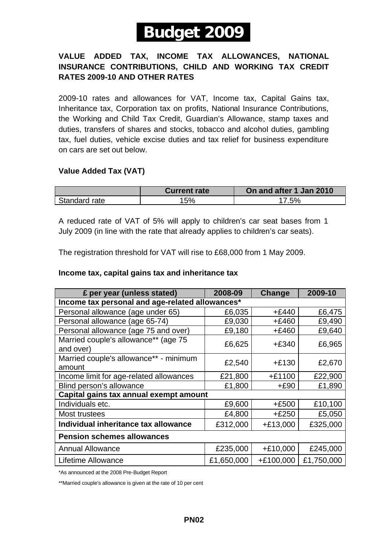# **-Budget 2009-**

### **VALUE ADDED TAX, INCOME TAX ALLOWANCES, NATIONAL INSURANCE CONTRIBUTIONS, CHILD AND WORKING TAX CREDIT RATES 2009-10 AND OTHER RATES**

2009-10 rates and allowances for VAT, Income tax, Capital Gains tax, Inheritance tax, Corporation tax on profits, National Insurance Contributions, the Working and Child Tax Credit, Guardian's Allowance, stamp taxes and duties, transfers of shares and stocks, tobacco and alcohol duties, gambling tax, fuel duties, vehicle excise duties and tax relief for business expenditure on cars are set out below.

### **Value Added Tax (VAT)**

|               | <b>Current rate</b> | On and after 1 Jan 2010 |
|---------------|---------------------|-------------------------|
| Standard rate | 15%                 | 17.5%                   |

A reduced rate of VAT of 5% will apply to children's car seat bases from 1 July 2009 (in line with the rate that already applies to children's car seats).

The registration threshold for VAT will rise to £68,000 from 1 May 2009.

### **Income tax, capital gains tax and inheritance tax**

| £ per year (unless stated)                        | 2008-09    | Change     | 2009-10    |  |  |
|---------------------------------------------------|------------|------------|------------|--|--|
| Income tax personal and age-related allowances*   |            |            |            |  |  |
| Personal allowance (age under 65)                 | £6,035     | $+£440$    | £6,475     |  |  |
| Personal allowance (age 65-74)                    | £9,030     | +£460      | £9,490     |  |  |
| Personal allowance (age 75 and over)              | £9,180     | +£460      | £9,640     |  |  |
| Married couple's allowance** (age 75<br>and over) | £6,625     | $+£340$    | £6,965     |  |  |
| Married couple's allowance** - minimum<br>amount  | £2,540     | $+£130$    | £2,670     |  |  |
| Income limit for age-related allowances           | £21,800    | $+£1100$   | £22,900    |  |  |
| Blind person's allowance                          | £1,800     | $+£90$     | £1,890     |  |  |
| Capital gains tax annual exempt amount            |            |            |            |  |  |
| Individuals etc.                                  | £9,600     | $+£500$    | £10,100    |  |  |
| Most trustees                                     | £4,800     | $+£250$    | £5,050     |  |  |
| Individual inheritance tax allowance              | £312,000   | $+£13,000$ | £325,000   |  |  |
| <b>Pension schemes allowances</b>                 |            |            |            |  |  |
| <b>Annual Allowance</b>                           | £235,000   | $+£10,000$ | £245,000   |  |  |
| Lifetime Allowance                                | £1,650,000 | +£100,000  | £1,750,000 |  |  |

\*As announced at the 2008 Pre-Budget Report

\*\*Married couple's allowance is given at the rate of 10 per cent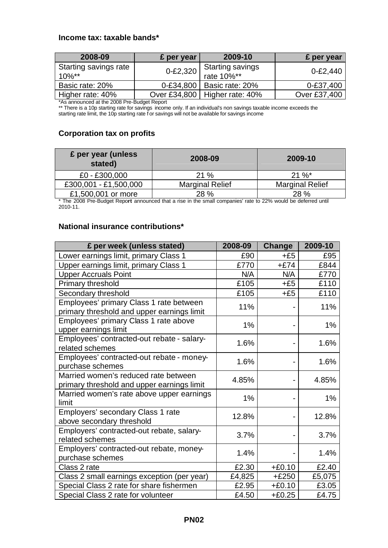### **Income tax: taxable bands\***

| 2008-09                                                                                                                                                                                                                                                                                                                                           | £ per year   | 2009-10                                  | £ per year   |
|---------------------------------------------------------------------------------------------------------------------------------------------------------------------------------------------------------------------------------------------------------------------------------------------------------------------------------------------------|--------------|------------------------------------------|--------------|
| Starting savings rate<br>$10\%$ **                                                                                                                                                                                                                                                                                                                | $0 - £2,320$ | <b>Starting savings</b><br>rate $10\%**$ | $0 - £2,440$ |
| Basic rate: 20%                                                                                                                                                                                                                                                                                                                                   | 0-£34,800    | Basic rate: 20%                          | 0-£37,400    |
| Higher rate: 40%<br>$\ddotsc$ $\ddotsc$ $\ddotsc$ $\ddotsc$ $\ddotsc$ $\ddotsc$ $\ddotsc$ $\ddotsc$ $\ddotsc$ $\ddotsc$ $\ddotsc$ $\ddotsc$ $\ddotsc$ $\ddotsc$ $\ddotsc$ $\ddotsc$ $\ddotsc$ $\ddotsc$ $\ddotsc$ $\ddotsc$ $\ddotsc$ $\ddotsc$ $\ddotsc$ $\ddotsc$ $\ddotsc$ $\ddotsc$ $\ddotsc$ $\ddotsc$ $\ddotsc$ $\ddotsc$ $\ddotsc$ $\ddot$ | Over £34,800 | Higher rate: 40%                         | Over £37,400 |

\*As announced at the 2008 Pre-Budget Report

\*\* There is a 10p starting rate for savings income only. If an individual's non savings taxable income exceeds the starting rate limit, the 10p starting rate f or savings will not be available for savings income

### **Corporation tax on profits**

| £ per year (unless<br>stated) | 2008-09                | 2009-10                |
|-------------------------------|------------------------|------------------------|
| £0 - £300,000                 | 21%                    | $21 \%$                |
| £300,001 - £1,500,000         | <b>Marginal Relief</b> | <b>Marginal Relief</b> |
| £1,500,001 or more            | 28 %                   | 28 %                   |

\* The 2008 Pre-Budget Repo**rt** announced that a rise in the small companies' rate to 22% would be deferred until 2010-11.

### **National insurance contributions\***

| £ per week (unless stated)                                                            | 2008-09 | Change   | 2009-10 |
|---------------------------------------------------------------------------------------|---------|----------|---------|
| Lower earnings limit, primary Class 1                                                 | £90     | $+£5$    | £95     |
| Upper earnings limit, primary Class 1                                                 | £770    | $+£74$   | £844    |
| <b>Upper Accruals Point</b>                                                           | N/A     | N/A      | £770    |
| Primary threshold                                                                     | £105    | $+£5$    | £110    |
| Secondary threshold                                                                   | £105    | $+£5$    | £110    |
| Employees' primary Class 1 rate between<br>primary threshold and upper earnings limit | 11%     |          | 11%     |
| Employees' primary Class 1 rate above<br>upper earnings limit                         | 1%      |          | 1%      |
| Employees' contracted-out rebate - salary-<br>related schemes                         | 1.6%    |          | 1.6%    |
| Employees' contracted-out rebate - money-<br>purchase schemes                         | 1.6%    |          | 1.6%    |
| Married women's reduced rate between<br>primary threshold and upper earnings limit    | 4.85%   |          | 4.85%   |
| Married women's rate above upper earnings<br>limit                                    | 1%      |          | 1%      |
| Employers' secondary Class 1 rate<br>above secondary threshold                        | 12.8%   |          | 12.8%   |
| Employers' contracted-out rebate, salary-<br>related schemes                          | 3.7%    |          | 3.7%    |
| Employers' contracted-out rebate, money-<br>purchase schemes                          | 1.4%    |          | 1.4%    |
| Class 2 rate                                                                          | £2.30   | $+£0.10$ | £2.40   |
| Class 2 small earnings exception (per year)                                           | £4,825  | $+£250$  | £5,075  |
| Special Class 2 rate for share fishermen                                              | £2.95   | $+£0.10$ | £3.05   |
| Special Class 2 rate for volunteer                                                    | £4.50   | $+£0.25$ | £4.75   |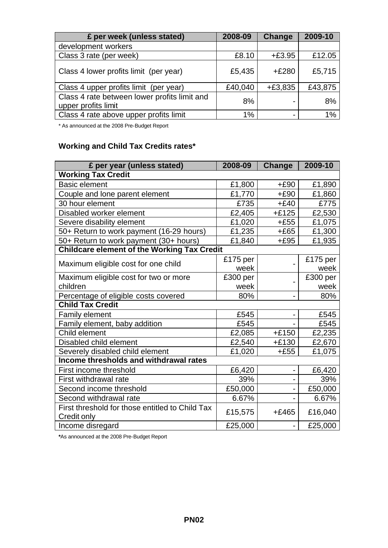| £ per week (unless stated)                                          | 2008-09 | Change    | 2009-10 |
|---------------------------------------------------------------------|---------|-----------|---------|
| development workers                                                 |         |           |         |
| Class 3 rate (per week)                                             | £8.10   | $+£3.95$  | £12.05  |
| Class 4 lower profits limit (per year)                              | £5,435  | $+£280$   | £5,715  |
| Class 4 upper profits limit (per year)                              | £40,040 | $+£3,835$ | £43,875 |
| Class 4 rate between lower profits limit and<br>upper profits limit | 8%      |           | 8%      |
| Class 4 rate above upper profits limit                              | 1%      |           | 1%      |

\* As announced at the 2008 Pre-Budget Report

# **Working and Child Tax Credits rates\***

| £ per year (unless stated)                                     | 2008-09  | <b>Change</b> | 2009-10  |
|----------------------------------------------------------------|----------|---------------|----------|
| <b>Working Tax Credit</b>                                      |          |               |          |
| <b>Basic element</b>                                           | £1,800   | $+£90$        | £1,890   |
| Couple and lone parent element                                 | £1,770   | $+£90$        | £1,860   |
| 30 hour element                                                | £735     | $+£40$        | £775     |
| Disabled worker element                                        | £2,405   | $+£125$       | £2,530   |
| Severe disability element                                      | £1,020   | $+£55$        | £1,075   |
| 50+ Return to work payment (16-29 hours)                       | £1,235   | $+£65$        | £1,300   |
| 50+ Return to work payment (30+ hours)                         | £1,840   | $+£95$        | £1,935   |
| <b>Childcare element of the Working Tax Credit</b>             |          |               |          |
| Maximum eligible cost for one child                            | £175 per |               | £175 per |
|                                                                | week     |               | week     |
| Maximum eligible cost for two or more                          | £300 per |               | £300 per |
| children                                                       | week     |               | week     |
| Percentage of eligible costs covered                           | 80%      |               | 80%      |
| <b>Child Tax Credit</b>                                        |          |               |          |
| <b>Family element</b>                                          | £545     |               | £545     |
| Family element, baby addition                                  | £545     |               | £545     |
| Child element                                                  | £2,085   | $+£150$       | £2,235   |
| Disabled child element                                         | £2,540   | $+£130$       | £2,670   |
| Severely disabled child element                                | £1,020   | $+£55$        | £1,075   |
| Income thresholds and withdrawal rates                         |          |               |          |
| First income threshold                                         | £6,420   |               | £6,420   |
| First withdrawal rate                                          | 39%      |               | 39%      |
| Second income threshold                                        | £50,000  |               | £50,000  |
| Second withdrawal rate                                         | 6.67%    |               | 6.67%    |
| First threshold for those entitled to Child Tax<br>Credit only | £15,575  | $+£465$       | £16,040  |
| Income disregard                                               | £25,000  |               | £25,000  |

**\***As announced at the 2008 Pre-Budget Report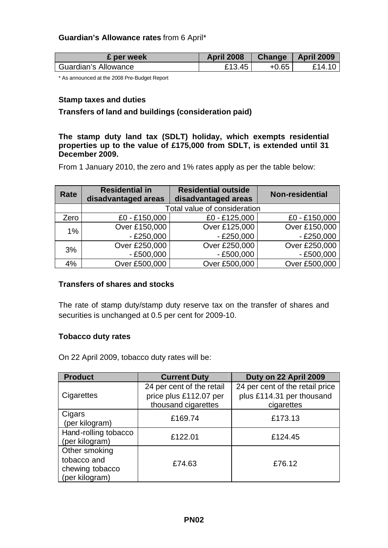### **Guardian's Allowance rates** from 6 April\*

| £ per week           | <b>April 2008</b> | <b>Change</b> | <b>April 2009</b> |
|----------------------|-------------------|---------------|-------------------|
| Guardian's Allowance | £13.45            | $+0.65$       | £14 1             |

\* As announced at the 2008 Pre-Budget Report

### **Stamp taxes and duties**

### **Transfers of land and buildings (consideration paid)**

### **The stamp duty land tax (SDLT) holiday, which exempts residential properties up to the value of £175,000 from SDLT, is extended until 31 December 2009.**

From 1 January 2010, the zero and 1% rates apply as per the table below:

| Rate | <b>Residential in</b><br>disadvantaged areas | <b>Residential outside</b><br>disadvantaged areas | <b>Non-residential</b> |  |
|------|----------------------------------------------|---------------------------------------------------|------------------------|--|
|      | Total value of consideration                 |                                                   |                        |  |
| Zero | £0 - £150,000                                | £0 - £125,000                                     | £0 - £150,000          |  |
| 1%   | Over £150,000                                | Over £125,000                                     | Over £150,000          |  |
|      | $-£250,000$                                  | $-£250,000$                                       | $-£250,000$            |  |
|      | Over £250,000                                | Over £250,000                                     | Over £250,000          |  |
| 3%   | $-£500,000$                                  | $- E500,000$                                      | $-£500,000$            |  |
| 4%   | Over £500,000                                | Over £500,000                                     | Over £500,000          |  |

### **Transfers of shares and stocks**

The rate of stamp duty/stamp duty reserve tax on the transfer of shares and securities is unchanged at 0.5 per cent for 2009-10.

### **Tobacco duty rates**

On 22 April 2009, tobacco duty rates will be:

| <b>Product</b>       | <b>Current Duty</b>       | Duty on 22 April 2009           |
|----------------------|---------------------------|---------------------------------|
|                      | 24 per cent of the retail | 24 per cent of the retail price |
| Cigarettes           | price plus £112.07 per    | plus £114.31 per thousand       |
|                      | thousand cigarettes       | cigarettes                      |
| Cigars               | £169.74                   | £173.13                         |
| (per kilogram)       |                           |                                 |
| Hand-rolling tobacco | £122.01                   | £124.45                         |
| (per kilogram)       |                           |                                 |
| Other smoking        |                           |                                 |
| tobacco and          | £74.63                    | £76.12                          |
| chewing tobacco      |                           |                                 |
| (per kilogram)       |                           |                                 |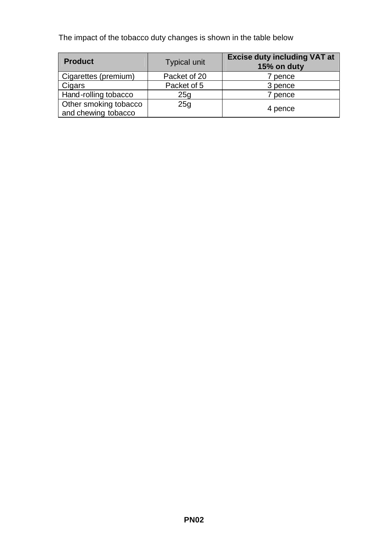The impact of the tobacco duty changes is shown in the table below

| <b>Product</b>                               | <b>Typical unit</b> | <b>Excise duty including VAT at</b><br>15% on duty |
|----------------------------------------------|---------------------|----------------------------------------------------|
| Cigarettes (premium)                         | Packet of 20        | 7 pence                                            |
| Cigars                                       | Packet of 5         | 3 pence                                            |
| Hand-rolling tobacco                         | 25g                 | 7 pence                                            |
| Other smoking tobacco<br>and chewing tobacco | 25g                 | 4 pence                                            |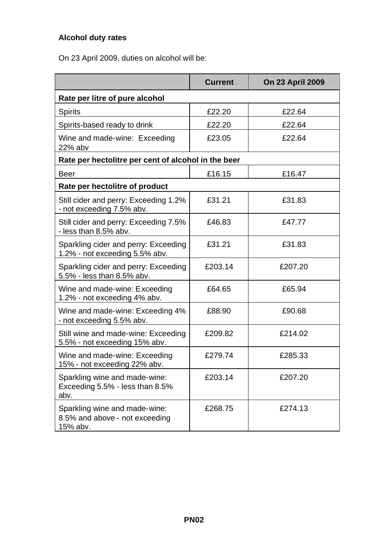# **Alcohol duty rates**

On 23 April 2009, duties on alcohol will be:

|                                                                             | <b>Current</b> | <b>On 23 April 2009</b> |  |  |
|-----------------------------------------------------------------------------|----------------|-------------------------|--|--|
| Rate per litre of pure alcohol                                              |                |                         |  |  |
| Spirits                                                                     | £22.20         | £22.64                  |  |  |
| Spirits-based ready to drink                                                | £22.20         | £22.64                  |  |  |
| Wine and made-wine: Exceeding<br>22% abv                                    | £23.05         | £22.64                  |  |  |
| Rate per hectolitre per cent of alcohol in the beer                         |                |                         |  |  |
| <b>Beer</b>                                                                 | £16.15         | £16.47                  |  |  |
| Rate per hectolitre of product                                              |                |                         |  |  |
| Still cider and perry: Exceeding 1.2%<br>- not exceeding 7.5% abv.          | £31.21         | £31.83                  |  |  |
| Still cider and perry: Exceeding 7.5%<br>- less than 8.5% abv.              | £46.83         | £47.77                  |  |  |
| Sparkling cider and perry: Exceeding<br>1.2% - not exceeding 5.5% abv.      | £31.21         | £31.83                  |  |  |
| Sparkling cider and perry: Exceeding<br>5.5% - less than 8.5% abv.          | £203.14        | £207.20                 |  |  |
| Wine and made-wine: Exceeding<br>1.2% - not exceeding 4% abv.               | £64.65         | £65.94                  |  |  |
| Wine and made-wine: Exceeding 4%<br>- not exceeding 5.5% abv.               | £88.90         | £90.68                  |  |  |
| Still wine and made-wine: Exceeding<br>5.5% - not exceeding 15% abv.        | £209.82        | £214.02                 |  |  |
| Wine and made-wine: Exceeding<br>15% - not exceeding 22% abv.               | £279.74        | £285.33                 |  |  |
| Sparkling wine and made-wine:<br>Exceeding 5.5% - less than 8.5%<br>abv.    | £203.14        | £207.20                 |  |  |
| Sparkling wine and made-wine:<br>8.5% and above - not exceeding<br>15% abv. | £268.75        | £274.13                 |  |  |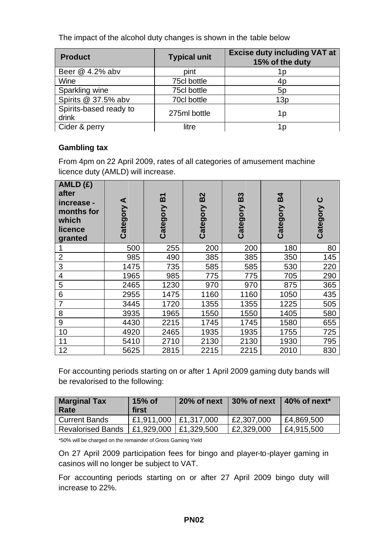The impact of the alcohol duty changes is shown in the table below

| <b>Product</b>                  | <b>Typical unit</b> | <b>Excise duty including VAT at</b><br>15% of the duty |
|---------------------------------|---------------------|--------------------------------------------------------|
| Beer @ 4.2% abv                 | pint                | 1 D                                                    |
| Wine                            | 75cl bottle         | 4p                                                     |
| Sparkling wine                  | 75cl bottle         | 5 <sub>p</sub>                                         |
| Spirits @ 37.5% abv             | 70cl bottle         | 13p                                                    |
| Spirits-based ready to<br>drink | 275ml bottle        | 1p                                                     |
| Cider & perry                   | litre               | 1 D                                                    |

# **Gambling tax**

From 4pm on 22 April 2009, rates of all categories of amusement machine licence duty (AMLD) will increase.

| AMLD(E)<br>after<br>increase -<br>months for<br>which<br>licence<br>granted | ⋖<br>Category | <b>PA</b><br>Category | <b>B2</b><br>Category | B <sub>3</sub><br>Category | $\mathbf{B}$<br>Category | ပ<br>Category |
|-----------------------------------------------------------------------------|---------------|-----------------------|-----------------------|----------------------------|--------------------------|---------------|
|                                                                             | 500           | 255                   | 200                   | 200                        | 180                      | 80            |
| $\overline{2}$                                                              | 985           | 490                   | 385                   | 385                        | 350                      | 145           |
| 3                                                                           | 1475          | 735                   | 585                   | 585                        | 530                      | 220           |
| 4                                                                           | 1965          | 985                   | 775                   | 775                        | 705                      | 290           |
| 5                                                                           | 2465          | 1230                  | 970                   | 970                        | 875                      | 365           |
| 6                                                                           | 2955          | 1475                  | 1160                  | 1160                       | 1050                     | 435           |
| 7                                                                           | 3445          | 1720                  | 1355                  | 1355                       | 1225                     | 505           |
| 8                                                                           | 3935          | 1965                  | 1550                  | 1550                       | 1405                     | 580           |
| $9$                                                                         | 4430          | 2215                  | 1745                  | 1745                       | 1580                     | 655           |
| 10                                                                          | 4920          | 2465                  | 1935                  | 1935                       | 1755                     | 725           |
| 11                                                                          | 5410          | 2710                  | 2130                  | 2130                       | 1930                     | 795           |
| 12                                                                          | 5625          | 2815                  | 2215                  | 2215                       | 2010                     | 830           |

For accounting periods starting on or after 1 April 2009 gaming duty bands will be revalorised to the following:

| <b>Marginal Tax</b><br>Rate | $15%$ of<br>first     | 20% of next | 30% of next | $\vert$ 40% of next <sup>*</sup> |
|-----------------------------|-----------------------|-------------|-------------|----------------------------------|
| <b>Current Bands</b>        | E1.911.000 E1.317.000 |             | £2,307,000  | £4,869,500                       |
| <b>Revalorised Bands</b>    | E1.929.000 E1.329.500 |             | £2,329,000  | £4,915,500                       |

\*50% will be charged on the remainder of Gross Gaming Yield

On 27 April 2009 participation fees for bingo and player-to-player gaming in casinos will no longer be subject to VAT.

For accounting periods starting on or after 27 April 2009 bingo duty will increase to 22%.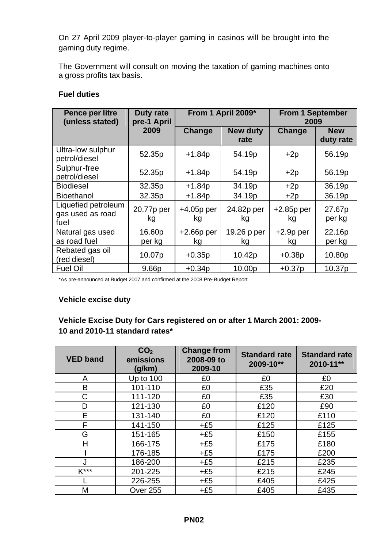On 27 April 2009 player-to-player gaming in casinos will be brought into the gaming duty regime.

The Government will consult on moving the taxation of gaming machines onto a gross profits tax basis.

### **Fuel duties**

| Pence per litre<br>(unless stated)              | Duty rate<br>pre-1 April | From 1 April 2009* |                         |                    |                         | <b>From 1 September</b><br>2009 |  |
|-------------------------------------------------|--------------------------|--------------------|-------------------------|--------------------|-------------------------|---------------------------------|--|
|                                                 | 2009                     | Change             | <b>New duty</b><br>rate | Change             | <b>New</b><br>duty rate |                                 |  |
| Ultra-low sulphur<br>petrol/diesel              | 52.35p                   | $+1.84p$           | 54.19p                  | $+2p$              | 56.19p                  |                                 |  |
| Sulphur-free<br>petrol/diesel                   | 52.35p                   | $+1.84p$           | 54.19p                  | $+2p$              | 56.19p                  |                                 |  |
| <b>Biodiesel</b>                                | 32.35p                   | $+1.84p$           | 34.19p                  | $+2p$              | 36.19p                  |                                 |  |
| <b>Bioethanol</b>                               | 32.35p                   | $+1.84p$           | 34.19p                  | $+2p$              | 36.19p                  |                                 |  |
| Liquefied petroleum<br>gas used as road<br>fuel | 20.77p per<br>kg         | $+4.05p$ per<br>kg | 24.82p per<br>kg        | $+2.85p$ per<br>kg | 27.67p<br>per kg        |                                 |  |
| Natural gas used                                | 16.60p                   | $+2.66p$ per       | 19.26 p per             | $+2.9p$ per        | 22.16p                  |                                 |  |
| as road fuel                                    | per kg                   | kg                 | kg                      | kg                 | per kg                  |                                 |  |
| Rebated gas oil<br>(red diesel)                 | 10.07p                   | $+0.35p$           | 10.42p                  | $+0.38p$           | 10.80p                  |                                 |  |
| <b>Fuel Oil</b>                                 | 9.66p                    | $+0.34p$           | 10.00p                  | $+0.37p$           | 10.37p                  |                                 |  |

\*As pre-announced at Budget 2007 and confirmed at the 2008 Pre-Budget Report

### **Vehicle excise duty**

# **Vehicle Excise Duty for Cars registered on or after 1 March 2001: 2009- 10 and 2010-11 standard rates\***

| <b>VED band</b> | CO <sub>2</sub><br>emissions<br>(g/km) | <b>Change from</b><br>2008-09 to<br>2009-10 | <b>Standard rate</b><br>2009-10** | <b>Standard rate</b><br>2010-11** |
|-----------------|----------------------------------------|---------------------------------------------|-----------------------------------|-----------------------------------|
| A               | Up to 100                              | £0                                          | £0                                | £0                                |
| B               | 101-110                                | £0                                          | £35                               | £20                               |
| C               | 111-120                                | £0                                          | £35                               | £30                               |
| D               | 121-130                                | £0                                          | £120                              | £90                               |
| E               | 131-140                                | £0                                          | £120                              | £110                              |
| F               | 141-150                                | $+£5$                                       | £125                              | £125                              |
| G               | 151-165                                | $+£5$                                       | £150                              | £155                              |
| Н               | 166-175                                | $+£5$                                       | £175                              | £180                              |
|                 | 176-185                                | $+£5$                                       | £175                              | £200                              |
|                 | 186-200                                | $+£5$                                       | £215                              | £235                              |
| $K***$          | 201-225                                | $+£5$                                       | £215                              | £245                              |
|                 | 226-255                                | $+£5$                                       | £405                              | £425                              |
| М               | <b>Over 255</b>                        | $+£5$                                       | £405                              | £435                              |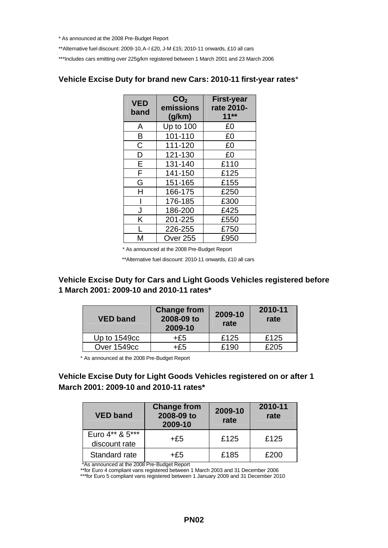\* As announced at the 2008 Pre-Budget Report

\*\*Alternative fuel discount: 2009-10, A-I £20, J-M £15; 2010-11 onwards, £10 all cars

\*\*\*Includes cars emitting over 225g/km registered between 1 March 2001 and 23 March 2006

# **Vehicle Excise Duty for brand new Cars: 2010-11 first-year rates**\*

| <b>VED</b><br>band | CO <sub>2</sub><br>emissions<br>(g/km) | <b>First-year</b><br>rate 2010-<br>$11**$ |
|--------------------|----------------------------------------|-------------------------------------------|
| A                  | Up to 100                              | £0                                        |
| B                  | 101-110                                | £0                                        |
| C                  | 111-120                                | £0                                        |
| D                  | 121-130                                | £0                                        |
| E                  | 131-140                                | £110                                      |
| F                  | 141-150                                | £125                                      |
| G                  | 151-165                                | £155                                      |
| н                  | 166-175                                | £250                                      |
|                    | 176-185                                | £300                                      |
| J                  | 186-200                                | £425                                      |
| Κ                  | 201-225                                | £550                                      |
| L                  | 226-255                                | £750                                      |
| М                  | <b>Over 255</b>                        | £950                                      |

\* As announced at the 2008 Pre-Budget Report

\*\*Alternative fuel discount: 2010-11 onwards, £10 all cars

### **Vehicle Excise Duty for Cars and Light Goods Vehicles registered before 1 March 2001: 2009-10 and 2010-11 rates\***

| <b>VED band</b> | <b>Change from</b><br>2008-09 to<br>2009-10 | 2009-10<br>rate | 2010-11<br>rate |
|-----------------|---------------------------------------------|-----------------|-----------------|
| Up to 1549cc    | +£5                                         | £125            | £125            |
| Over 1549cc     | +£5                                         | £190            | £205            |

\* As announced at the 2008 Pre-Budget Report

**Vehicle Excise Duty for Light Goods Vehicles registered on or after 1 March 2001: 2009-10 and 2010-11 rates\***

| <b>VED band</b>                  | <b>Change from</b><br>2008-09 to<br>2009-10 | 2009-10<br>rate | 2010-11<br>rate |
|----------------------------------|---------------------------------------------|-----------------|-----------------|
| Euro 4** & 5***<br>discount rate | +£5                                         | £125            | £125            |
| Standard rate                    | +£5                                         | £185            | £200            |

\*As announced at the 2008 Pre-Budget Report

\*\*for Euro 4 compliant vans registered between 1 March 2003 and 31 December 2006

\*\*\*for Euro 5 compliant vans registered between 1 January 2009 and 31 December 2010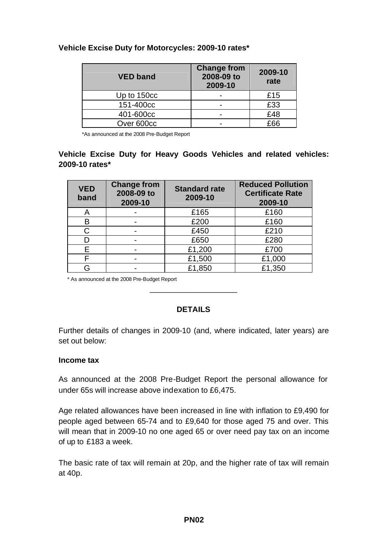### **Vehicle Excise Duty for Motorcycles: 2009-10 rates\***

| <b>VED band</b> | <b>Change from</b><br>2008-09 to<br>2009-10 | 2009-10<br>rate |
|-----------------|---------------------------------------------|-----------------|
| Up to 150cc     |                                             | £15             |
| 151-400cc       |                                             | £33             |
| 401-600cc       |                                             | £48             |
| Over 600cc      |                                             | FRR             |

\*As announced at the 2008 Pre-Budget Report

### **Vehicle Excise Duty for Heavy Goods Vehicles and related vehicles: 2009-10 rates\***

| <b>VED</b><br>band | <b>Change from</b><br>2008-09 to<br>2009-10 | <b>Standard rate</b><br>2009-10 | <b>Reduced Pollution</b><br><b>Certificate Rate</b><br>2009-10 |
|--------------------|---------------------------------------------|---------------------------------|----------------------------------------------------------------|
|                    |                                             | £165                            | £160                                                           |
|                    |                                             | £200                            | £160                                                           |
| C.                 |                                             | £450                            | £210                                                           |
|                    |                                             | £650                            | £280                                                           |
| F                  |                                             | £1,200                          | £700                                                           |
|                    |                                             | £1,500                          | £1,000                                                         |
|                    |                                             | £1,850                          | £1,350                                                         |

\* As announced at the 2008 Pre-Budget Report

### **DETAILS**

\_\_\_\_\_\_\_\_\_\_\_\_\_\_\_\_\_\_\_\_

Further details of changes in 2009-10 (and, where indicated, later years) are set out below:

### **Income tax**

As announced at the 2008 Pre-Budget Report the personal allowance for under 65s will increase above indexation to £6,475.

Age related allowances have been increased in line with inflation to £9,490 for people aged between 65-74 and to £9,640 for those aged 75 and over. This will mean that in 2009-10 no one aged 65 or over need pay tax on an income of up to £183 a week.

The basic rate of tax will remain at 20p, and the higher rate of tax will remain at 40p.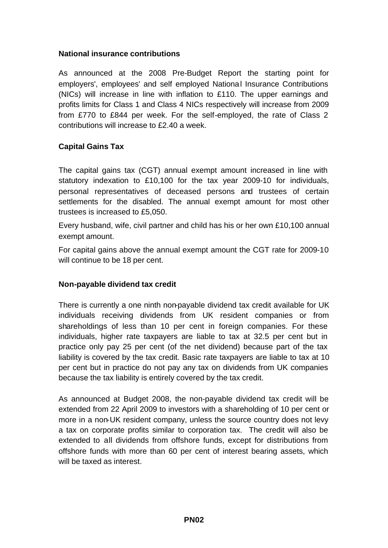### **National insurance contributions**

As announced at the 2008 Pre-Budget Report the starting point for employers', employees' and self employed National Insurance Contributions (NICs) will increase in line with inflation to £110. The upper earnings and profits limits for Class 1 and Class 4 NICs respectively will increase from 2009 from £770 to £844 per week. For the self-employed, the rate of Class 2 contributions will increase to £2.40 a week.

### **Capital Gains Tax**

The capital gains tax (CGT) annual exempt amount increased in line with statutory indexation to £10,100 for the tax year 2009-10 for individuals, personal representatives of deceased persons and trustees of certain settlements for the disabled. The annual exempt amount for most other trustees is increased to £5,050.

Every husband, wife, civil partner and child has his or her own £10,100 annual exempt amount.

For capital gains above the annual exempt amount the CGT rate for 2009-10 will continue to be 18 per cent.

### **Non-payable dividend tax credit**

There is currently a one ninth non-payable dividend tax credit available for UK individuals receiving dividends from UK resident companies or from shareholdings of less than 10 per cent in foreign companies. For these individuals, higher rate taxpayers are liable to tax at 32.5 per cent but in practice only pay 25 per cent (of the net dividend) because part of the tax liability is covered by the tax credit. Basic rate taxpayers are liable to tax at 10 per cent but in practice do not pay any tax on dividends from UK companies because the tax liability is entirely covered by the tax credit.

As announced at Budget 2008, the non-payable dividend tax credit will be extended from 22 April 2009 to investors with a shareholding of 10 per cent or more in a non-UK resident company, unless the source country does not levy a tax on corporate profits similar to corporation tax. The credit will also be extended to all dividends from offshore funds, except for distributions from offshore funds with more than 60 per cent of interest bearing assets, which will be taxed as interest.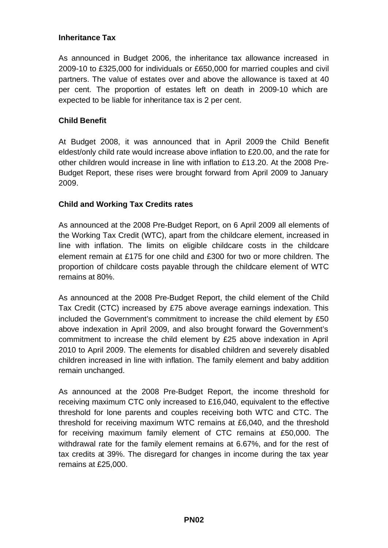### **Inheritance Tax**

As announced in Budget 2006, the inheritance tax allowance increased in 2009-10 to £325,000 for individuals or £650,000 for married couples and civil partners. The value of estates over and above the allowance is taxed at 40 per cent. The proportion of estates left on death in 2009-10 which are expected to be liable for inheritance tax is 2 per cent.

### **Child Benefit**

At Budget 2008, it was announced that in April 2009 the Child Benefit eldest/only child rate would increase above inflation to £20.00, and the rate for other children would increase in line with inflation to £13.20. At the 2008 Pre-Budget Report, these rises were brought forward from April 2009 to January 2009.

### **Child and Working Tax Credits rates**

As announced at the 2008 Pre-Budget Report, on 6 April 2009 all elements of the Working Tax Credit (WTC), apart from the childcare element, increased in line with inflation. The limits on eligible childcare costs in the childcare element remain at £175 for one child and £300 for two or more children. The proportion of childcare costs payable through the childcare element of WTC remains at 80%.

As announced at the 2008 Pre-Budget Report, the child element of the Child Tax Credit (CTC) increased by £75 above average earnings indexation. This included the Government's commitment to increase the child element by £50 above indexation in April 2009, and also brought forward the Government's commitment to increase the child element by £25 above indexation in April 2010 to April 2009. The elements for disabled children and severely disabled children increased in line with inflation. The family element and baby addition remain unchanged.

As announced at the 2008 Pre-Budget Report, the income threshold for receiving maximum CTC only increased to £16,040, equivalent to the effective threshold for lone parents and couples receiving both WTC and CTC. The threshold for receiving maximum WTC remains at £6,040, and the threshold for receiving maximum family element of CTC remains at £50,000. The withdrawal rate for the family element remains at 6.67%, and for the rest of tax credits at 39%. The disregard for changes in income during the tax year remains at £25,000.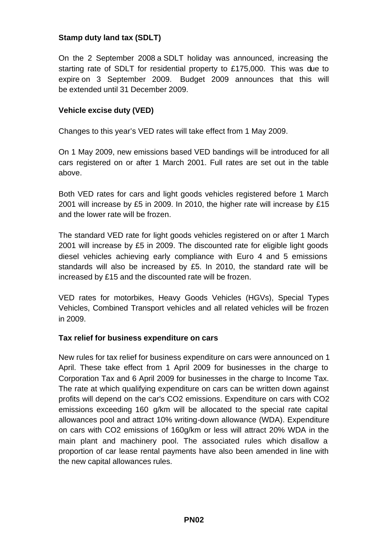### **Stamp duty land tax (SDLT)**

On the 2 September 2008 a SDLT holiday was announced, increasing the starting rate of SDLT for residential property to £175,000. This was due to expire on 3 September 2009. Budget 2009 announces that this will be extended until 31 December 2009.

### **Vehicle excise duty (VED)**

Changes to this year's VED rates will take effect from 1 May 2009.

On 1 May 2009, new emissions based VED bandings will be introduced for all cars registered on or after 1 March 2001. Full rates are set out in the table above.

Both VED rates for cars and light goods vehicles registered before 1 March 2001 will increase by £5 in 2009. In 2010, the higher rate will increase by £15 and the lower rate will be frozen.

The standard VED rate for light goods vehicles registered on or after 1 March 2001 will increase by £5 in 2009. The discounted rate for eligible light goods diesel vehicles achieving early compliance with Euro 4 and 5 emissions standards will also be increased by £5. In 2010, the standard rate will be increased by £15 and the discounted rate will be frozen.

VED rates for motorbikes, Heavy Goods Vehicles (HGVs), Special Types Vehicles, Combined Transport vehicles and all related vehicles will be frozen in 2009.

### **Tax relief for business expenditure on cars**

New rules for tax relief for business expenditure on cars were announced on 1 April. These take effect from 1 April 2009 for businesses in the charge to Corporation Tax and 6 April 2009 for businesses in the charge to Income Tax. The rate at which qualifying expenditure on cars can be written down against profits will depend on the car's CO2 emissions. Expenditure on cars with CO2 emissions exceeding 160 g/km will be allocated to the special rate capital allowances pool and attract 10% writing-down allowance (WDA). Expenditure on cars with CO2 emissions of 160g/km or less will attract 20% WDA in the main plant and machinery pool. The associated rules which disallow a proportion of car lease rental payments have also been amended in line with the new capital allowances rules.